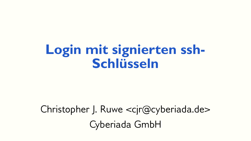### **Login mit signierten ssh-Schlüsseln**

#### Christopher J. Ruwe <cjr@cyberiada.de> Cyberiada GmbH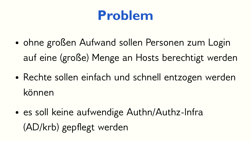## **Problem**

- ohne großen Aufwand sollen Personen zum Login auf eine (große) Menge an Hosts berechtigt werden
- Rechte sollen einfach und schnell entzogen werden können
- es soll keine aufwendige Authn/Authz-Infra (AD/krb) gepflegt werden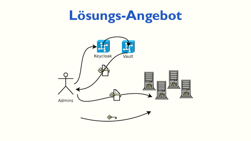# **Lösungs-Angebot**

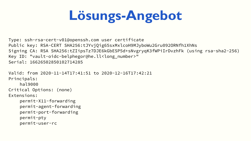# **Lösungs-Angebot**

Type: ssh-rsa-cert-v01@openssh.com user certificate Public key: RSA-CERT SHA256:tJYvjQig65sxMxlcoH9MJyboWu2Gru092ORNfh1XhNs Signing CA: RSA SHA256:tZIipsTz7DJE6kGbESP5d+sNvgryqK3fWPiIrDvzhFk (using rsa-sha2-256) Key ID: "vault-oidc-belphegor@he.ll<long\_number>" Serial: 16626502850102714285

Valid: from 2020-11-14T17:41:51 to 2020-12-16T17:42:21 Principals: hal9000 Critical Options: (none) Extensions: permit-X11-forwarding permit-agent-forwarding permit-port-forwarding permit-pty permit-user-rc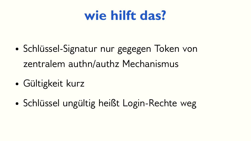## **wie hilft das?**

- Schlüssel-Signatur nur gegegen Token von zentralem authn/authz Mechanismus
- Gültigkeit kurz
- Schlüssel ungültig heißt Login-Rechte weg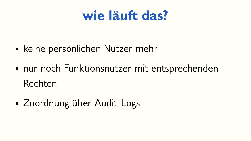## **wie läuft das?**

- keine persönlichen Nutzer mehr
- nur noch Funktionsnutzer mit entsprechenden Rechten
- Zuordnung über Audit-Logs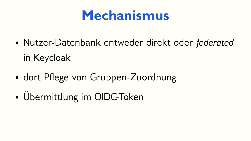## **Mechanismus**

- Nutzer-Datenbank entweder direkt oder *federated* in Keycloak
- dort Pflege von Gruppen-Zuordnung
- Übermittlung im OIDC-Token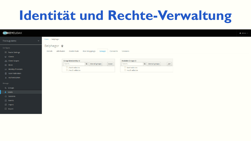# **Identität und Rechte-Verwaltung**

| <b>EXEYCLOAK</b>                      |                               |                                     |                         |          |                             |                     |      |  | $\triangle$ Admin $\sim$ |
|---------------------------------------|-------------------------------|-------------------------------------|-------------------------|----------|-----------------------------|---------------------|------|--|--------------------------|
| Fraosug-demo<br>$\checkmark$          | Users $\rightarrow$ belphegor |                                     |                         |          |                             |                     |      |  |                          |
| Configure                             | Belphegor $\dot{\mathbf{r}}$  |                                     |                         |          |                             |                     |      |  |                          |
| <sup>14</sup> Realm Settings          | Attributes<br><b>Details</b>  | Credentials                         | Role Mappings<br>Groups | Consents | Sessions                    |                     |      |  |                          |
| $\odot$ Clients                       |                               |                                     |                         |          |                             |                     |      |  |                          |
| <b>Solution</b> Scopes                |                               | <b>Group Membership @</b>           |                         |          | Available Groups @          |                     |      |  |                          |
| $\equiv$ Roles                        |                               | Search                              | Q View all groups       | Leave    | Search                      | $Q$ View all groups | Join |  |                          |
| $\rightleftarrows$ Identity Providers |                               | host-admins<br>$\Box$ /vault-admins |                         |          | host-admins<br>vault-admins |                     |      |  |                          |
| User Federation                       |                               |                                     |                         |          |                             |                     |      |  |                          |
| Authentication                        |                               |                                     |                         |          |                             |                     |      |  |                          |
| Manage                                |                               |                                     |                         |          |                             |                     |      |  |                          |
| <i>နံ</i> ၌ Groups                    |                               |                                     |                         |          |                             |                     |      |  |                          |
| L Users                               |                               |                                     |                         |          |                             |                     |      |  |                          |
| <b><i>A</i></b> Sessions              |                               |                                     |                         |          |                             |                     |      |  |                          |
| <b>台</b> Events                       |                               |                                     |                         |          |                             |                     |      |  |                          |
| $\mathfrak{A}$ Import                 |                               |                                     |                         |          |                             |                     |      |  |                          |
| $\mathbb{R}$ Export                   |                               |                                     |                         |          |                             |                     |      |  |                          |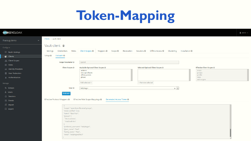# **Token-Mapping**

| <b>WIKEYCLOAK</b>                        |                                                                    |                                                                                     |                                   |                                         | $\triangle$ Admin $\sim$ |
|------------------------------------------|--------------------------------------------------------------------|-------------------------------------------------------------------------------------|-----------------------------------|-----------------------------------------|--------------------------|
| Fraosug-demo<br>$\checkmark$             | Clients > vault-client                                             |                                                                                     |                                   |                                         |                          |
| Configure                                | Vault-client <sup>+</sup>                                          |                                                                                     |                                   |                                         |                          |
| <b>博 Realm Settings</b>                  | Credentials<br>Roles<br>Settings                                   | Client Scopes ● Mappers ● Scope ● Revocation Sessions ● Offline Access ● Clustering | Installation @                    |                                         |                          |
| $\bullet$ Clients                        | Setup <sup>O</sup><br>Evaluate <sup>O</sup>                        |                                                                                     |                                   |                                         |                          |
| <b>S</b> Client Scopes<br>$\equiv$ Roles | Scope Parameter @                                                  | openid                                                                              |                                   |                                         |                          |
| dentity Providers                        | <b>Client Scopes @</b>                                             | Available Optional Client Scopes<br>address                                         | Selected Optional Client Scopes @ | <b>Effective Client Scopes</b><br>email |                          |
| User Federation                          |                                                                    | microprofile-jwt<br>offline_access                                                  |                                   | groups<br>profile                       |                          |
| Authentication                           |                                                                    | phone                                                                               |                                   | roles<br>web-origins                    |                          |
| Manage                                   |                                                                    | Add selected »                                                                      | « Remove selected                 |                                         |                          |
| <b>A Groups</b>                          | User <sup>O</sup>                                                  | belphegor                                                                           | $\mathbf{x}$ $\vert$ $\mathbf{v}$ |                                         |                          |
| <b>L</b> Users                           | Evaluate                                                           |                                                                                     |                                   |                                         |                          |
| <b><i>O</i></b> Sessions                 | Effective Protocol Mappers @                                       | Effective Role Scope Mappings @<br>Generated Access Token @                         |                                   |                                         |                          |
| till Events                              |                                                                    |                                                                                     |                                   |                                         |                          |
| <b>図</b> Import                          |                                                                    |                                                                                     |                                   |                                         |                          |
| $\mathbb{R}$ Export                      | "scope": "openid profile email groups",<br>"email_verified": true, |                                                                                     |                                   |                                         |                          |
|                                          | "name": "Baal Peor",                                               |                                                                                     |                                   |                                         |                          |
|                                          | "groups": [<br>"/host-admins",                                     |                                                                                     |                                   |                                         |                          |
|                                          | "/vault-admins"                                                    |                                                                                     |                                   |                                         |                          |
|                                          | "preferred_username": "belphegor",                                 |                                                                                     |                                   |                                         |                          |
|                                          | "given_name": "Baal",                                              |                                                                                     |                                   |                                         |                          |
|                                          | "family_name": "Peor",<br>"email": "belphegor@he.ll"               |                                                                                     |                                   |                                         |                          |
|                                          |                                                                    |                                                                                     |                                   |                                         |                          |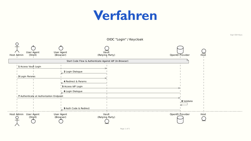### **Verfahren**



Sign SSH Keys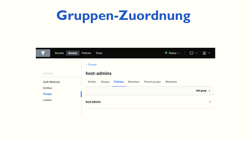# **Gruppen-Zuordnung**

| $\equiv$<br>Access<br><b>Secrets</b>   | <b>Policies</b><br><b>Tools</b>                                                               | $\bullet$ Status $\sim$<br>⊡<br>口<br>$\checkmark$<br>$\checkmark$ |
|----------------------------------------|-----------------------------------------------------------------------------------------------|-------------------------------------------------------------------|
| <b>ACCESS</b>                          | Groups<br>host-admins                                                                         |                                                                   |
| <b>Auth Methods</b><br><b>Entities</b> | <b>Aliases</b><br><b>Policies</b><br><b>Parent groups</b><br><b>Details</b><br><b>Members</b> | <b>Metadata</b>                                                   |
| <b>Groups</b><br><b>Leases</b>         |                                                                                               | Edit group $\rightarrow$                                          |
|                                        | host-admins                                                                                   | $\cdots$                                                          |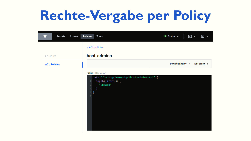# **Rechte-Vergabe per Policy**

| Access<br>$\equiv$<br><b>Secrets</b> | <b>Policies</b><br><b>Tools</b>                                                                                                                                                | $\bullet$ Status $\sim$ | ⊵ ∽ | 回<br>$\check{ }$          |
|--------------------------------------|--------------------------------------------------------------------------------------------------------------------------------------------------------------------------------|-------------------------|-----|---------------------------|
|                                      | <b>ACL policies</b>                                                                                                                                                            |                         |     |                           |
| <b>POLICIES</b>                      | host-admins                                                                                                                                                                    |                         |     |                           |
| <b>ACL Policies</b>                  |                                                                                                                                                                                | Download policy >       |     | Edit policy $\rightarrow$ |
|                                      | Policy (HCL format)<br>1 path "fraosug-demo/sign/host-admins-ssh" {<br>capabilities $=$ [<br>$\overline{2}$<br>"update"<br>3<br>ı<br>$\overline{4}$<br>$5$ }<br>$6\phantom{.}$ |                         |     |                           |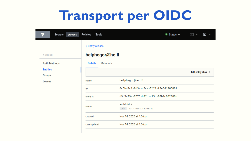# **Transport per OIDC**

| $\overline{\mathbb{Z}}$ .<br>Access<br><b>Secrets</b> | <b>Policies</b><br><b>Tools</b>   | $\bullet$ Status $\sim$               | 回<br>⊡ ∽<br>$\checkmark$        |
|-------------------------------------------------------|-----------------------------------|---------------------------------------|---------------------------------|
|                                                       | <b>Entity aliases</b>             |                                       |                                 |
| <b>ACCESS</b>                                         | belphegor@he.ll                   |                                       |                                 |
| <b>Auth Methods</b>                                   | <b>Metadata</b><br><b>Details</b> |                                       |                                 |
| <b>Entities</b><br><b>Groups</b>                      |                                   |                                       | Edit entity alias $\rightarrow$ |
| Leases                                                | <b>Name</b>                       | belphegor@he.11                       |                                 |
|                                                       | ID                                | 0c5bd4c1-9d3e-d3ca-7f21-f3e841966881  |                                 |
|                                                       | <b>Entity ID</b>                  | d9c5a79a-7673-b92c-413c-93b1c082080b  |                                 |
|                                                       | <b>Mount</b>                      | auth/oidc/<br>oidc auth_oidc_48ae3a32 |                                 |
|                                                       | <b>Created</b>                    | Nov 14, 2020 at 4:56 pm               |                                 |
|                                                       | <b>Last Updated</b>               | Nov 14, 2020 at 4:56 pm               |                                 |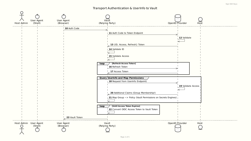Sign SSH Keys

#### Transport Authentication & UserInfo to Vault

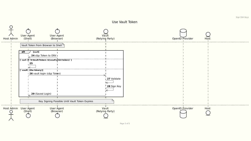Use Vault Token



Page 3 of 5

Sign SSH Keys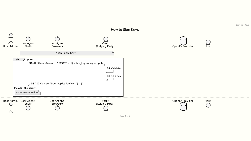

How to Sign Keys

Page 4 of 5

Sign SSH Keys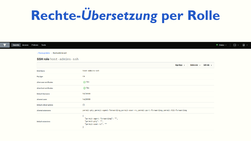# **Rechte-***Übersetzung* **per Rolle**

| <b>Secrets</b><br>Access | Policies Tools                   |                                                                                                    | $\bullet$ Status $\sim$ | $\boxed{2}$ $\sim$ $\boxed{2}$ |
|--------------------------|----------------------------------|----------------------------------------------------------------------------------------------------|-------------------------|--------------------------------|
|                          | ∢ fraosug-demo < host-admins-ssh |                                                                                                    |                         |                                |
|                          | <b>SSH role</b> host-admins-ssh  |                                                                                                    |                         |                                |
|                          |                                  | Edit role $\rightarrow$<br>Sign Keys ><br>Delete role $\sim$                                       |                         |                                |
|                          | <b>Role Name</b>                 | host-admins-ssh                                                                                    |                         |                                |
|                          | <b>Key type</b>                  | ca                                                                                                 |                         |                                |
|                          | <b>Allow user certificates</b>   | ⊘ Yes                                                                                              |                         |                                |
|                          | <b>Allow host certificates</b>   | ⊘ Yes                                                                                              |                         |                                |
|                          | <b>Default Username</b>          | ha19000                                                                                            |                         |                                |
|                          | <b>Allowed users</b>             | ha19000                                                                                            |                         |                                |
|                          | <b>Default critical options</b>  | $\{\}$                                                                                             |                         |                                |
|                          | <b>Allowed extensions</b>        | permit-pty, permit-agent-forwarding, permit-user-rc, permit-port-forwarding, permit-X11-forwarding |                         |                                |
|                          | <b>Default extensions</b>        | "permit-agent-forwarding": "",<br>"permit-pty": "",<br>"permit-user-rc": ""                        |                         |                                |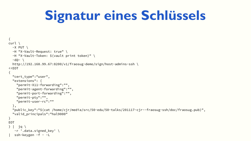## **Signatur eines Schlüssels**

```
{
curl \
  -X PUT \
   -H "X-Vault-Request: true" \
   -H "X-Vault-Token: $(vault print token)" \
  -d(a- http://192.168.99.67:8200/v1/fraosug-demo/sign/host-admins-ssh \
<<EOT
{
   "cert_type":"user",
   "extensions": {
     "permit-X11-forwarding":"",
     "permit-agent-forwarding":"",
     "permit-port-forwarding":"",
     "permit-pty":"",
     "permit-user-rc":""
   },
   "public_key":"$(cat /home/cjr/media/src/50-edu/50-talks/201117-cjr--fraosug-ssh/doc/fraosug.pub)",
   "valid_principals":"hal9000"
}
EOT
     jq \lambda -r '.data.signed_key' \
   ssh-keygen -f - -L
```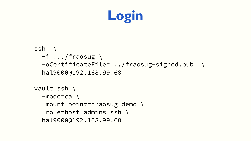

```
ssh \
  -i .../fraosug \
   -oCertificateFile=.../fraosug-signed.pub \
   hal9000@192.168.99.68
vault ssh \
   -mode=ca \
   -mount-point=fraosug-demo \
   -role=host-admins-ssh \
   hal9000@192.168.99.68
```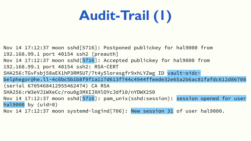# **Audit-Trail (1)**

Nov 14 17:12:37 moon sshd[5716]: Postponed publickey for hal9000 from 192.168.99.1 port 40154 ssh2 [preauth] Nov 14 17:12:37 moon sshd [5716]: Accepted publickey for hal9000 from 192.168.99.1 port 40154 ssh2: RSA-CERT SHA256:TGvFsbj58aEX1hP3RMSUT/7t4y5lorasgfr9xhLYZwg ID vault-oidcbelphegor@he.ll-4c6bc5b1b8f9f1a117d613f744c4944ffeede32e65a2b6ac81fafdc612d86708 (serial 6705468412955462474) CA RSA SHA256:rW3eVJ1WXeCc/rou0g3MXIJXHlOYcJdf10/nYDWX250 Nov 14 17:12:37 moon sshd[5716]: pam unix(sshd:session): session opened for user hal $9000$  by (uid=0) Nov 14 17:12:37 moon systemd-logind[706]: New session 31 of user hal9000.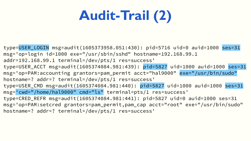# **Audit-Trail (2)**

type=USER\_LOGIN msg=audit(1605373958.051:430): pid=5716 uid=0 auid=1000 ses=31 msg='op=login id=1000 exe="/usr/sbin/sshd" hostname=192.168.99.1 addr=192.168.99.1 terminal=/dev/pts/1 res=success' type=USER\_ACCT msg=audit(1605374084.981:439): pid=5827 uid=1000 auid=1000 ses=31 msg='op=PAM:accounting grantors=pam\_permit acct="hal9000" exe="/usr/bin/sudo" hostname=? addr=? terminal=/dev/pts/1 res=success' type=USER\_CMD msg=audit(1605374084.981:440): pid=5827 uid=1000 auid=1000 ses=31 msg='cwd="/home/hal9000" cmd="ls" terminal=pts/1 res=success' type=CRED\_REFR msg=audit(1605374084.981:441): pid=5827 uid=0 auid=1000 ses=31 msg='op=PAM:setcred grantors=pam\_permit,pam\_cap acct="root" exe="/usr/bin/sudo" hostname=? addr=? terminal=/dev/pts/1 res=success'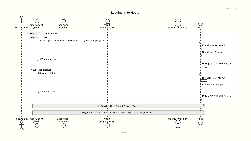

Sign SSH Keys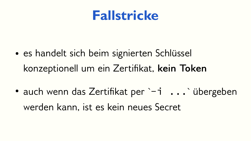#### **Fallstricke**

- es handelt sich beim signierten Schlüssel konzeptionell um ein Zertifikat, **kein Token**
- auch wenn das Zertifikat per `-i ... übergeben werden kann, ist es kein neues Secret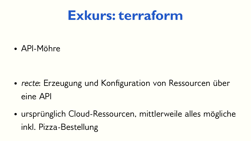### **Exkurs: terraform**

• API-Möhre

- *recte*: Erzeugung und Konfiguration von Ressourcen über eine API
- ursprünglich Cloud-Ressourcen, mittlerweile alles mögliche inkl. Pizza-Bestellung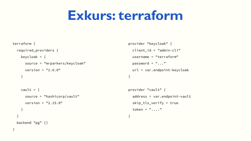### **Exkurs: terraform**

#### terraform {

}

```
 required_providers {
  keycloak = \{ source = "mrparkers/keycloak"
    version = "2.0.0" }
```

```
vault = \{ source = "hashicorp/vault"
    version = "2.15.0" }
 }
 backend "pg" {}
```

```
provider "keycloak" {
   client_id = "admin-cli"
   username = "terraform"
  password = "..."
   url = var.endpoint-keycloak
}
```

```
provider "vault" {
   address = var.endpoint-vault
   skip_tls_verify = true
  token = "...."
```
#### }